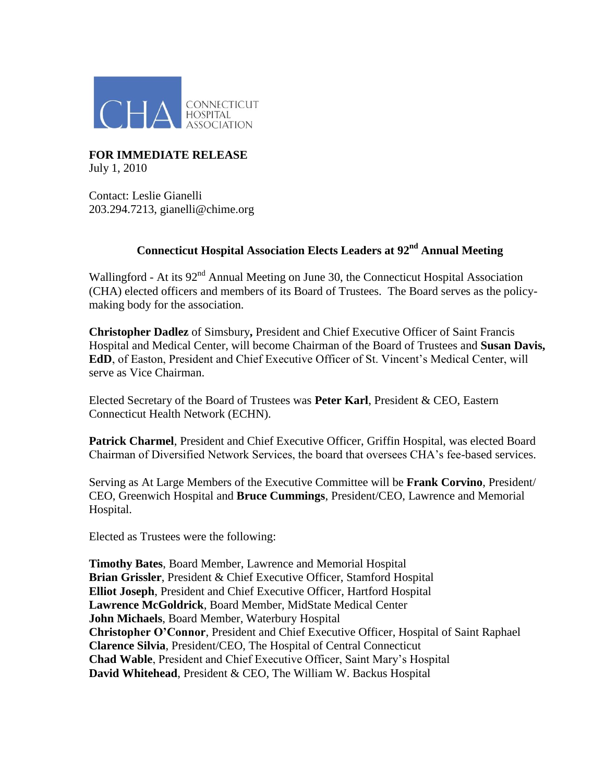

## **FOR IMMEDIATE RELEASE** July 1, 2010

Contact: Leslie Gianelli 203.294.7213, gianelli@chime.org

## **Connecticut Hospital Association Elects Leaders at 92 nd Annual Meeting**

Wallingford - At its  $92<sup>nd</sup>$  Annual Meeting on June 30, the Connecticut Hospital Association (CHA) elected officers and members of its Board of Trustees. The Board serves as the policymaking body for the association.

**Christopher Dadlez** of Simsbury**,** President and Chief Executive Officer of Saint Francis Hospital and Medical Center, will become Chairman of the Board of Trustees and **Susan Davis, EdD**, of Easton, President and Chief Executive Officer of St. Vincent's Medical Center, will serve as Vice Chairman.

Elected Secretary of the Board of Trustees was **Peter Karl**, President & CEO, Eastern Connecticut Health Network (ECHN).

**Patrick Charmel**, President and Chief Executive Officer, Griffin Hospital, was elected Board Chairman of Diversified Network Services, the board that oversees CHA's fee-based services.

Serving as At Large Members of the Executive Committee will be **Frank Corvino**, President/ CEO, Greenwich Hospital and **Bruce Cummings**, President/CEO, Lawrence and Memorial Hospital.

Elected as Trustees were the following:

**Timothy Bates**, Board Member, Lawrence and Memorial Hospital **Brian Grissler**, President & Chief Executive Officer, Stamford Hospital **Elliot Joseph**, President and Chief Executive Officer, Hartford Hospital **Lawrence McGoldrick**, Board Member, MidState Medical Center **John Michaels**, Board Member, Waterbury Hospital **Christopher O'Connor**, President and Chief Executive Officer, Hospital of Saint Raphael **Clarence Silvia**, President/CEO, The Hospital of Central Connecticut **Chad Wable**, President and Chief Executive Officer, Saint Mary's Hospital **David Whitehead**, President & CEO, The William W. Backus Hospital